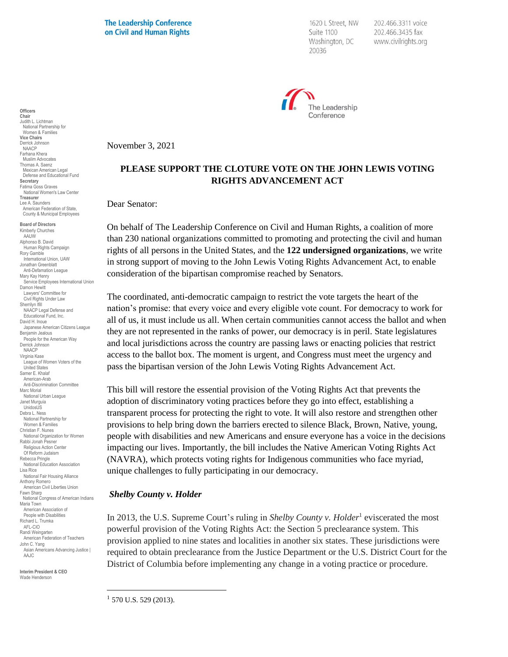**The Leadership Conference** on Civil and Human Rights

1620 L Street, NW Suite 1100 Washington, DC 20036

202.466.3311 voice 202.466.3435 fax www.civilrights.org



November 3, 2021

## **PLEASE SUPPORT THE CLOTURE VOTE ON THE JOHN LEWIS VOTING RIGHTS ADVANCEMENT ACT**

Dear Senator:

On behalf of The Leadership Conference on Civil and Human Rights, a coalition of more than 230 national organizations committed to promoting and protecting the civil and human rights of all persons in the United States, and the **122 undersigned organizations**, we write in strong support of moving to the John Lewis Voting Rights Advancement Act, to enable consideration of the bipartisan compromise reached by Senators.

The coordinated, anti-democratic campaign to restrict the vote targets the heart of the nation's promise: that every voice and every eligible vote count. For democracy to work for all of us, it must include us all. When certain communities cannot access the ballot and when they are not represented in the ranks of power, our democracy is in peril. State legislatures and local jurisdictions across the country are passing laws or enacting policies that restrict access to the ballot box. The moment is urgent, and Congress must meet the urgency and pass the bipartisan version of the John Lewis Voting Rights Advancement Act.

This bill will restore the essential provision of the Voting Rights Act that prevents the adoption of discriminatory voting practices before they go into effect, establishing a transparent process for protecting the right to vote. It will also restore and strengthen other provisions to help bring down the barriers erected to silence Black, Brown, Native, young, people with disabilities and new Americans and ensure everyone has a voice in the decisions impacting our lives. Importantly, the bill includes the Native American Voting Rights Act (NAVRA), which protects voting rights for Indigenous communities who face myriad, unique challenges to fully participating in our democracy.

#### *Shelby County v. Holder*

In 2013, the U.S. Supreme Court's ruling in *Shelby County v. Holder*<sup>1</sup> eviscerated the most powerful provision of the Voting Rights Act: the Section 5 preclearance system. This provision applied to nine states and localities in another six states. These jurisdictions were required to obtain preclearance from the Justice Department or the U.S. District Court for the District of Columbia before implementing any change in a voting practice or procedure.

**Interim President & CEO** Wade Henderson

**Officers Chair** Judith L. Lichtman National Partnership for Women & Families **Vice Chairs** Derrick Johnson NAACP Farhana Khera Muslim Advocates Thomas A. Saenz Mexican American Legal Defense and Educational Fund

**Secretary** Fatima Goss Graves National Women's Law Center

**Treasurer** Lee A. Saunders American Federation of State, County & Municipal Employees **Board of Directors** Kimberly Churches AAUW Alphonso B. David Human Rights Campaign Rory Gamble International Union, UAW Jonathan Greenblatt Anti-Defamation League Mary Kay Henry

Damon Hewitt Lawyers' Committee for Civil Rights Under Law Sherrilyn Ifill

Benjamin Jealous People for the American Way Derrick Johnson NAACP

United States Samer E. Khalaf American-Arab Anti-Discrimination Committee

Marc Morial National Urban League Janet Murguía UnidosUS Debra L. Ness National Partnership for Women & Families Christian F. Nunes

Fawn Sharp

Maria Town American Association of People with Disabilities Richard L. Trumka AFL-CIO Randi Weingarten

John C. Yang

AAJC.

Service Employees International Union

Japanese American Citizens League

Virginia Kase League of Women Voters of the

National Organization for Women Rabbi Jonah Pesner Religious Action Center Of Reform Judaism Rebecca Pringle

National Education Association Lisa Rice National Fair Housing Alliance Anthony Romero American Civil Liberties Union

National Congress of American Indians

American Federation of Teachers

Asian Americans Advancing Justice |

NAACP Legal Defense and Educational Fund, Inc. David H. Inoue

 $1$  570 U.S. 529 (2013).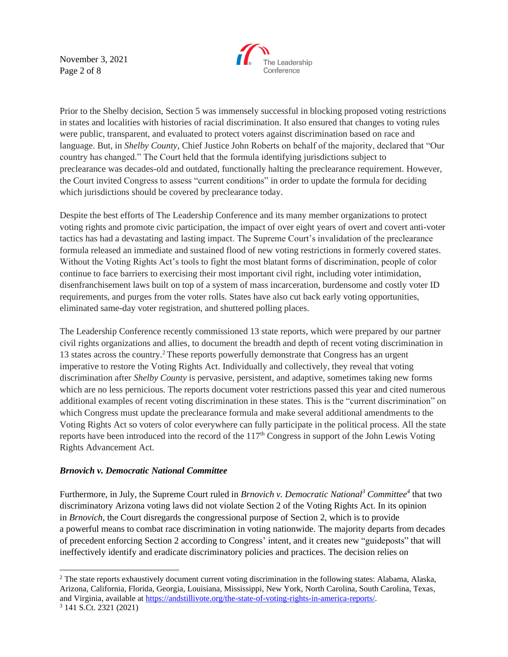November 3, 2021 Page 2 of 8



Prior to the Shelby decision, Section 5 was immensely successful in blocking proposed voting restrictions in states and localities with histories of racial discrimination. It also ensured that changes to voting rules were public, transparent, and evaluated to protect voters against discrimination based on race and language. But, in *Shelby County*, Chief Justice John Roberts on behalf of the majority, declared that "Our country has changed." The Court held that the formula identifying jurisdictions subject to preclearance was decades-old and outdated, functionally halting the preclearance requirement. However, the Court invited Congress to assess "current conditions" in order to update the formula for deciding which jurisdictions should be covered by preclearance today.

Despite the best efforts of The Leadership Conference and its many member organizations to protect voting rights and promote civic participation, the impact of over eight years of overt and covert anti-voter tactics has had a devastating and lasting impact. The Supreme Court's invalidation of the preclearance formula released an immediate and sustained flood of new voting restrictions in formerly covered states. Without the Voting Rights Act's tools to fight the most blatant forms of discrimination, people of color continue to face barriers to exercising their most important civil right, including voter intimidation, disenfranchisement laws built on top of a system of mass incarceration, burdensome and costly voter ID requirements, and purges from the voter rolls. States have also cut back early voting opportunities, eliminated same-day voter registration, and shuttered polling places.

The Leadership Conference recently commissioned 13 state reports, which were prepared by our partner civil rights organizations and allies, to document the breadth and depth of recent voting discrimination in 13 states across the country.<sup>2</sup> These reports powerfully demonstrate that Congress has an urgent imperative to restore the Voting Rights Act. Individually and collectively, they reveal that voting discrimination after *Shelby County* is pervasive, persistent, and adaptive, sometimes taking new forms which are no less pernicious. The reports document voter restrictions passed this year and cited numerous additional examples of recent voting discrimination in these states. This is the "current discrimination" on which Congress must update the preclearance formula and make several additional amendments to the Voting Rights Act so voters of color everywhere can fully participate in the political process. All the state reports have been introduced into the record of the 117th Congress in support of the John Lewis Voting Rights Advancement Act.

## *Brnovich v. Democratic National Committee*

Furthermore, in July, the Supreme Court ruled in *Brnovich v. Democratic National<sup>3</sup> Committee<sup>4</sup>* that two discriminatory Arizona voting laws did not violate Section 2 of the Voting Rights Act. In its opinion in *Brnovich*, the Court disregards the congressional purpose of Section 2, which is to provide a powerful means to combat race discrimination in voting nationwide. The majority departs from decades of precedent enforcing Section 2 according to Congress' intent, and it creates new "guideposts" that will ineffectively identify and eradicate discriminatory policies and practices. The decision relies on

 $2$  The state reports exhaustively document current voting discrimination in the following states: Alabama, Alaska, Arizona, California, Florida, Georgia, Louisiana, Mississippi, New York, North Carolina, South Carolina, Texas, and Virginia, available a[t https://andstillivote.org/the-state-of-voting-rights-in-america-reports/.](https://andstillivote.org/the-state-of-voting-rights-in-america-reports/) <sup>3</sup> 141 S.Ct. 2321 (2021)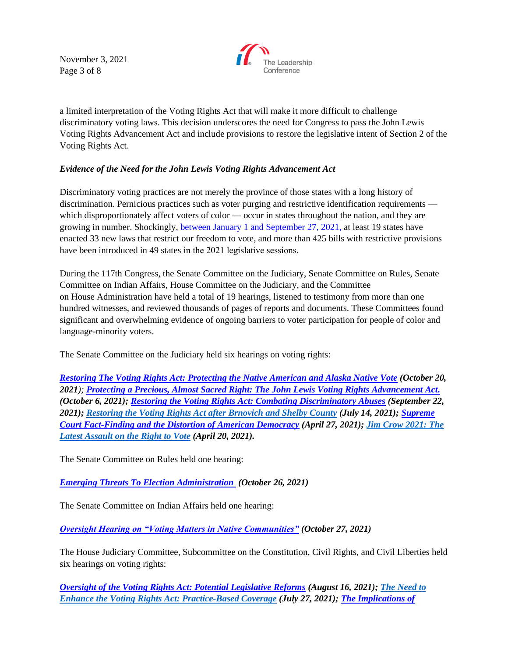November 3, 2021 Page 3 of 8



a limited interpretation of the Voting Rights Act that will make it more difficult to challenge discriminatory voting laws. This decision underscores the need for Congress to pass the John Lewis Voting Rights Advancement Act and include provisions to restore the legislative intent of Section 2 of the Voting Rights Act.

# *Evidence of the Need for the John Lewis Voting Rights Advancement Act*

Discriminatory voting practices are not merely the province of those states with a long history of discrimination. Pernicious practices such as voter purging and restrictive identification requirements which disproportionately affect voters of color — occur in states throughout the nation, and they are growing in number. Shockingly, [between January 1 and September 27, 2021,](https://www.brennancenter.org/issues/ensure-every-american-can-vote/voting-reform/state-voting-laws) at least 19 states have enacted 33 new laws that restrict our freedom to vote, and more than 425 bills with restrictive provisions have been introduced in 49 states in the 2021 legislative sessions. 

During the 117th Congress, the Senate Committee on the Judiciary, Senate Committee on Rules, Senate Committee on Indian Affairs, House Committee on the Judiciary, and the Committee on House Administration have held a total of 19 hearings, listened to testimony from more than one hundred witnesses, and reviewed thousands of pages of reports and documents. These Committees found significant and overwhelming evidence of ongoing barriers to voter participation for people of color and language-minority voters.

The Senate Committee on the Judiciary held six hearings on voting rights:

*Restoring The Voting Rights Act: [Protecting the Native American and Alaska Native Vote](https://www.judiciary.senate.gov/meetings/restoring-the-voting-rights-act-protecting-the-native-american-and-alaska-native-vote) (October 20, 2021); [Protecting a Precious, Almost Sacred Right: The John Lewis Voting Rights Advancement Act.](https://www.judiciary.senate.gov/meetings/protecting-a-precious-almost-sacred-right-the-john-r-lewis-voting-rights-advancement-act) (October 6, 2021); [Restoring the Voting Rights Act: Combating Discriminatory Abuses](https://www.judiciary.senate.gov/meetings/restoring-the-voting-rights-act-combating-discriminatory-abuses) (September 22, 2021); [Restoring the Voting Rights Act after Brnovich and Shelby County](https://www.judiciary.senate.gov/meetings/restoring-the-voting-rights-act-after-brnovich-and-shelby-county) (July 14, 2021); [Supreme](https://www.judiciary.senate.gov/meetings/supreme-court-fact-finding-and-the-distortion-of-american-democracy)  [Court Fact-Finding and the Distortion of American Democracy](https://www.judiciary.senate.gov/meetings/supreme-court-fact-finding-and-the-distortion-of-american-democracy) (April 27, 2021); [Jim Crow 2021: The](https://www.judiciary.senate.gov/meetings/jim-crow-2021-the-latest-assault-on-the-right-to-vote)  [Latest Assault on the Right to Vote](https://www.judiciary.senate.gov/meetings/jim-crow-2021-the-latest-assault-on-the-right-to-vote) (April 20, 2021).*

The Senate Committee on Rules held one hearing:

*[Emerging Threats To Election Administration](https://www.rules.senate.gov/hearings/emerging-threats-to-election-administration) (October 26, 2021)*

The Senate Committee on Indian Affairs held one hearing:

*[Oversight Hearing on "Voting Matters in Native Communities"](https://www.indian.senate.gov/hearing/business-meeting-consider-hr1688-oversight-hearing-voting-matters-native-communities) (October 27, 2021)*

The House Judiciary Committee, Subcommittee on the Constitution, Civil Rights, and Civil Liberties held six hearings on voting rights:

*[Oversight of the Voting Rights Act: Potential Legislative Reforms](https://judiciary.house.gov/calendar/eventsingle.aspx?EventID=4688) (August 16, 2021); [The Need to](https://judiciary.house.gov/calendar/EventSingle.aspx?EventID=4651)  [Enhance the Voting Rights Act: Practice-Based Coverage](https://judiciary.house.gov/calendar/EventSingle.aspx?EventID=4651) (July 27, 2021); [The Implications of](https://judiciary.house.gov/calendar/eventsingle.aspx?EventID=4632)*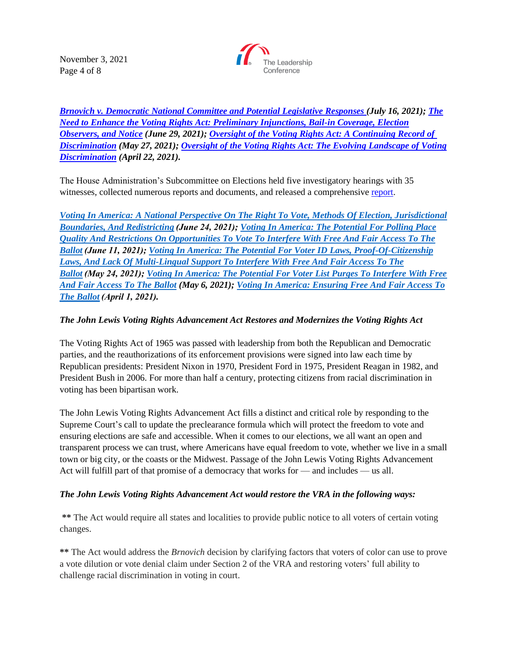November 3, 2021 Page 4 of 8



*[Brnovich v. Democratic National Committee and Potential Legislative Responses](https://judiciary.house.gov/calendar/eventsingle.aspx?EventID=4632) (July 16, 2021); [The](https://judiciary.house.gov/calendar/eventsingle.aspx?EventID=4605)  [Need to Enhance the Voting Rights Act: Preliminary Injunctions, Bail-in Coverage, Election](https://judiciary.house.gov/calendar/eventsingle.aspx?EventID=4605)  [Observers, and Notice](https://judiciary.house.gov/calendar/eventsingle.aspx?EventID=4605) (June 29, 2021); [Oversight of the Voting Rights Act: A Continuing Record of](https://judiciary.house.gov/calendar/eventsingle.aspx?EventID=4560) [Discrimination](https://judiciary.house.gov/calendar/eventsingle.aspx?EventID=4560) (May 27, 2021); [Oversight of the Voting Rights Act: The Evolving Landscape of Voting](https://judiciary.house.gov/calendar/eventsingle.aspx?EventID=4507)  [Discrimination](https://judiciary.house.gov/calendar/eventsingle.aspx?EventID=4507) (April 22, 2021).*

The House Administration's Subcommittee on Elections held five investigatory hearings with 35 witnesses, collected numerous reports and documents, and released a comprehensiv[e report.](https://cha.house.gov/sites/democrats.cha.house.gov/files/2021_Voting%20in%20America_v5_web.pdf)

*[Voting In America: A National Perspective On The Right To Vote, Methods Of Election, Jurisdictional](https://cha.house.gov/committee-activity/hearings/voting-america-national-perspective-right-vote-methods-election)  [Boundaries, And Redistricting](https://cha.house.gov/committee-activity/hearings/voting-america-national-perspective-right-vote-methods-election)(June 24, 2021); [Voting In America: The Potential For Polling Place](https://cha.house.gov/committee-activity/hearings/voting-america-potential-polling-place-quality-and-restrictions)  [Quality And Restrictions On Opportunities To Vote To Interfere With Free And Fair Access To The](https://cha.house.gov/committee-activity/hearings/voting-america-potential-polling-place-quality-and-restrictions)  [Ballot \(](https://cha.house.gov/committee-activity/hearings/voting-america-potential-polling-place-quality-and-restrictions)June 11, 2021); [Voting In America: The Potential For Voter ID Laws, Proof-Of-Citizenship](https://cha.house.gov/committee-activity/hearings/voting-america-potential-voter-id-laws-proof-citizenship-laws-and-lack)  [Laws, And Lack Of Multi-Lingual Support To Interfere With Free And Fair Access To The](https://cha.house.gov/committee-activity/hearings/voting-america-potential-voter-id-laws-proof-citizenship-laws-and-lack)  [Ballot \(](https://cha.house.gov/committee-activity/hearings/voting-america-potential-voter-id-laws-proof-citizenship-laws-and-lack)May 24, 2021); [Voting In America: The Potential For Voter List Purges To Interfere With Free](https://cha.house.gov/committee-activity/hearings/voting-america-potential-voter-list-purges-interfere-free-and-fair)  [And Fair Access To The Ballot](https://cha.house.gov/committee-activity/hearings/voting-america-potential-voter-list-purges-interfere-free-and-fair) (May 6, 2021); [Voting In America: Ensuring Free And Fair Access To](https://cha.house.gov/committee-activity/hearings/voting-america-ensuring-free-and-fair-access-ballot)  [The Ballot](https://cha.house.gov/committee-activity/hearings/voting-america-ensuring-free-and-fair-access-ballot)(April 1, 2021).*

# *The John Lewis Voting Rights Advancement Act Restores and Modernizes the Voting Rights Act*

The Voting Rights Act of 1965 was passed with leadership from both the Republican and Democratic parties, and the reauthorizations of its enforcement provisions were signed into law each time by Republican presidents: President Nixon in 1970, President Ford in 1975, President Reagan in 1982, and President Bush in 2006. For more than half a century, protecting citizens from racial discrimination in voting has been bipartisan work.

The John Lewis Voting Rights Advancement Act fills a distinct and critical role by responding to the Supreme Court's call to update the preclearance formula which will protect the freedom to vote and ensuring elections are safe and accessible. When it comes to our elections, we all want an open and transparent process we can trust, where Americans have equal freedom to vote, whether we live in a small town or big city, or the coasts or the Midwest. Passage of the John Lewis Voting Rights Advancement Act will fulfill part of that promise of a democracy that works for — and includes — us all.

## *The John Lewis Voting Rights Advancement Act would restore the VRA in the following ways:*

**\*\*** The Act would require all states and localities to provide public notice to all voters of certain voting changes.

**\*\*** The Act would address the *Brnovich* decision by clarifying factors that voters of color can use to prove a vote dilution or vote denial claim under Section 2 of the VRA and restoring voters' full ability to challenge racial discrimination in voting in court.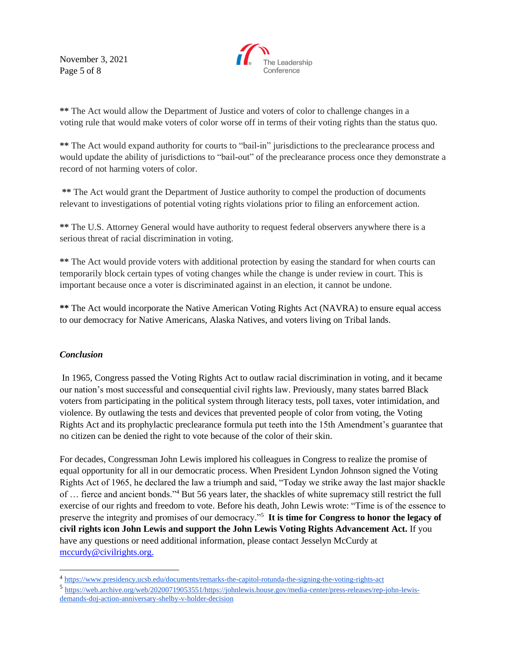November 3, 2021 Page 5 of 8



**\*\*** The Act would allow the Department of Justice and voters of color to challenge changes in a voting rule that would make voters of color worse off in terms of their voting rights than the status quo.

**\*\*** The Act would expand authority for courts to "bail-in" jurisdictions to the preclearance process and would update the ability of jurisdictions to "bail-out" of the preclearance process once they demonstrate a record of not harming voters of color.

**\*\*** The Act would grant the Department of Justice authority to compel the production of documents relevant to investigations of potential voting rights violations prior to filing an enforcement action.

**\*\*** The U.S. Attorney General would have authority to request federal observers anywhere there is a serious threat of racial discrimination in voting.

**\*\*** The Act would provide voters with additional protection by easing the standard for when courts can temporarily block certain types of voting changes while the change is under review in court. This is important because once a voter is discriminated against in an election, it cannot be undone.

**\*\*** The Act would incorporate the Native American Voting Rights Act (NAVRA) to ensure equal access to our democracy for Native Americans, Alaska Natives, and voters living on Tribal lands.

# *Conclusion*

In 1965, Congress passed the Voting Rights Act to outlaw racial discrimination in voting, and it became our nation's most successful and consequential civil rights law. Previously, many states barred Black voters from participating in the political system through literacy tests, poll taxes, voter intimidation, and violence. By outlawing the tests and devices that prevented people of color from voting, the Voting Rights Act and its prophylactic preclearance formula put teeth into the 15th Amendment's guarantee that no citizen can be denied the right to vote because of the color of their skin.

For decades, Congressman John Lewis implored his colleagues in Congress to realize the promise of equal opportunity for all in our democratic process. When President Lyndon Johnson signed the Voting Rights Act of 1965, he declared the law a triumph and said, "Today we strike away the last major shackle of … fierce and ancient bonds."<sup>4</sup> But 56 years later, the shackles of white supremacy still restrict the full exercise of our rights and freedom to vote. Before his death, John Lewis wrote: "Time is of the essence to preserve the integrity and promises of our democracy."<sup>5</sup> **It is time for Congress to honor the legacy of civil rights icon John Lewis and support the John Lewis Voting Rights Advancement Act.** If you have any questions or need additional information, please contact Jesselyn McCurdy at [mccurdy@civilrights.org.](mailto:mccurdy@civilrights.org)

<sup>4</sup> <https://www.presidency.ucsb.edu/documents/remarks-the-capitol-rotunda-the-signing-the-voting-rights-act>

<sup>5</sup> [https://web.archive.org/web/20200719053551/https://johnlewis.house.gov/media-center/press-releases/rep-john-lewis](https://web.archive.org/web/20200719053551/https:/johnlewis.house.gov/media-center/press-releases/rep-john-lewis-demands-doj-action-anniversary-shelby-v-holder-decision)[demands-doj-action-anniversary-shelby-v-holder-decision](https://web.archive.org/web/20200719053551/https:/johnlewis.house.gov/media-center/press-releases/rep-john-lewis-demands-doj-action-anniversary-shelby-v-holder-decision)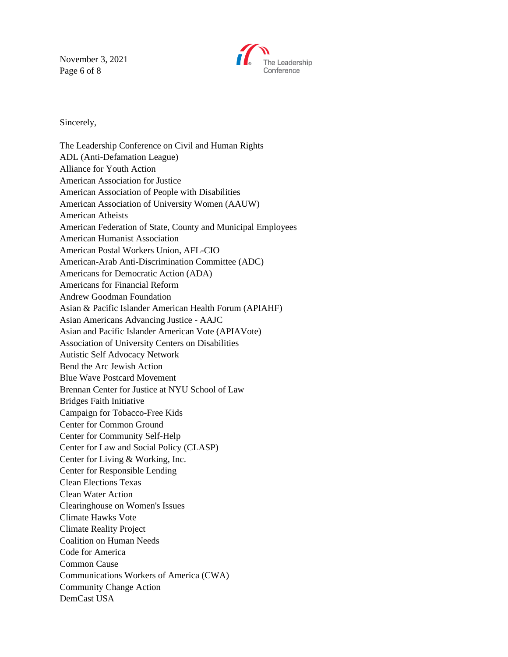November 3, 2021 Page 6 of 8



Sincerely,

The Leadership Conference on Civil and Human Rights ADL (Anti-Defamation League) Alliance for Youth Action American Association for Justice American Association of People with Disabilities American Association of University Women (AAUW) American Atheists American Federation of State, County and Municipal Employees American Humanist Association American Postal Workers Union, AFL-CIO American-Arab Anti-Discrimination Committee (ADC) Americans for Democratic Action (ADA) Americans for Financial Reform Andrew Goodman Foundation Asian & Pacific Islander American Health Forum (APIAHF) Asian Americans Advancing Justice - AAJC Asian and Pacific Islander American Vote (APIAVote) Association of University Centers on Disabilities Autistic Self Advocacy Network Bend the Arc Jewish Action Blue Wave Postcard Movement Brennan Center for Justice at NYU School of Law Bridges Faith Initiative Campaign for Tobacco-Free Kids Center for Common Ground Center for Community Self-Help Center for Law and Social Policy (CLASP) Center for Living & Working, Inc. Center for Responsible Lending Clean Elections Texas Clean Water Action Clearinghouse on Women's Issues Climate Hawks Vote Climate Reality Project Coalition on Human Needs Code for America Common Cause Communications Workers of America (CWA) Community Change Action DemCast USA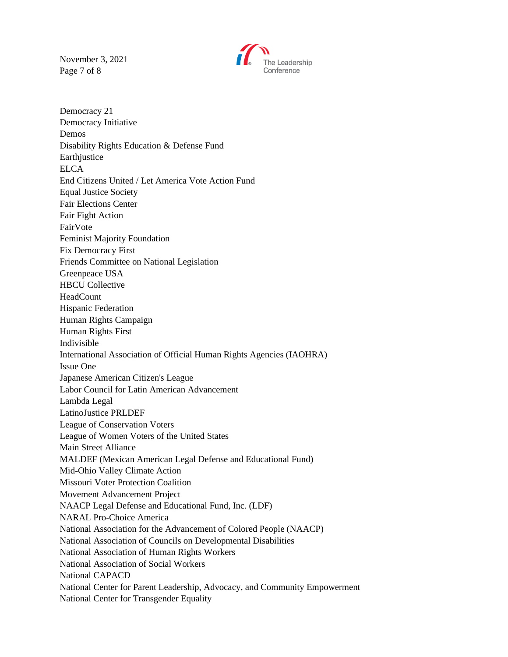November 3, 2021 Page 7 of 8



Democracy 21 Democracy Initiative Demos Disability Rights Education & Defense Fund **Earthjustice ELCA** End Citizens United / Let America Vote Action Fund Equal Justice Society Fair Elections Center Fair Fight Action FairVote Feminist Majority Foundation Fix Democracy First Friends Committee on National Legislation Greenpeace USA HBCU Collective HeadCount Hispanic Federation Human Rights Campaign Human Rights First Indivisible International Association of Official Human Rights Agencies (IAOHRA) Issue One Japanese American Citizen's League Labor Council for Latin American Advancement Lambda Legal LatinoJustice PRLDEF League of Conservation Voters League of Women Voters of the United States Main Street Alliance MALDEF (Mexican American Legal Defense and Educational Fund) Mid-Ohio Valley Climate Action Missouri Voter Protection Coalition Movement Advancement Project NAACP Legal Defense and Educational Fund, Inc. (LDF) NARAL Pro-Choice America National Association for the Advancement of Colored People (NAACP) National Association of Councils on Developmental Disabilities National Association of Human Rights Workers National Association of Social Workers National CAPACD National Center for Parent Leadership, Advocacy, and Community Empowerment National Center for Transgender Equality